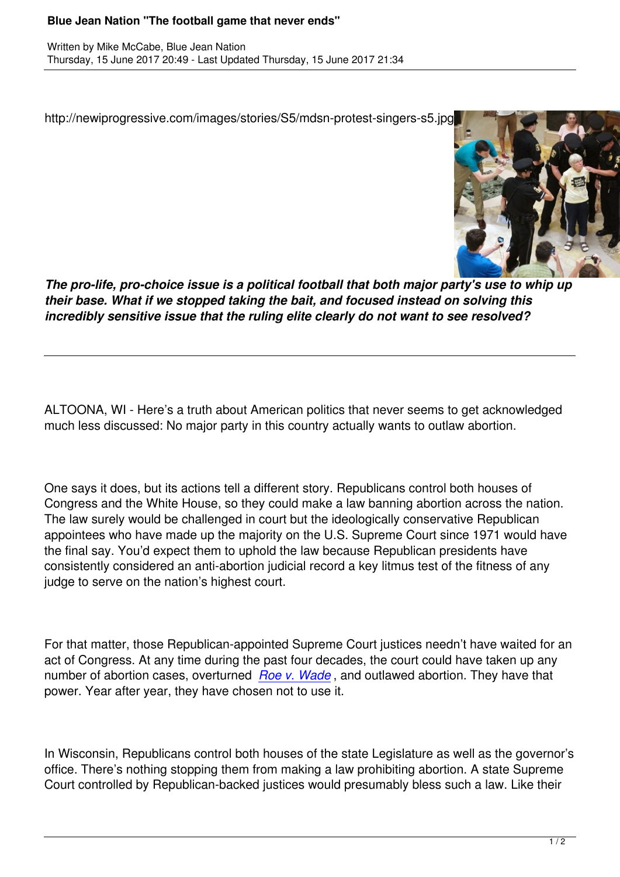http://newiprogressive.com/images/stories/S5/mdsn-protest-singers-s5.jpg



*The pro-life, pro-choice issue is a political football that both major party's use to whip up their base. What if we stopped taking the bait, and focused instead on solving this incredibly sensitive issue that the ruling elite clearly do not want to see resolved?*

ALTOONA, WI - Here's a truth about American politics that never seems to get acknowledged much less discussed: No major party in this country actually wants to outlaw abortion.

One says it does, but its actions tell a different story. Republicans control both houses of Congress and the White House, so they could make a law banning abortion across the nation. The law surely would be challenged in court but the ideologically conservative Republican appointees who have made up the majority on the U.S. Supreme Court since 1971 would have the final say. You'd expect them to uphold the law because Republican presidents have consistently considered an anti-abortion judicial record a key litmus test of the fitness of any judge to serve on the nation's highest court.

For that matter, those Republican-appointed Supreme Court justices needn't have waited for an act of Congress. At any time during the past four decades, the court could have taken up any number of abortion cases, overturned *Roe v. Wade* , and outlawed abortion. They have that power. Year after year, they have chosen not to use it.

In Wisconsin, Republicans control both houses of the state Legislature as well as the governor's office. There's nothing stopping them from making a law prohibiting abortion. A state Supreme Court controlled by Republican-backed justices would presumably bless such a law. Like their